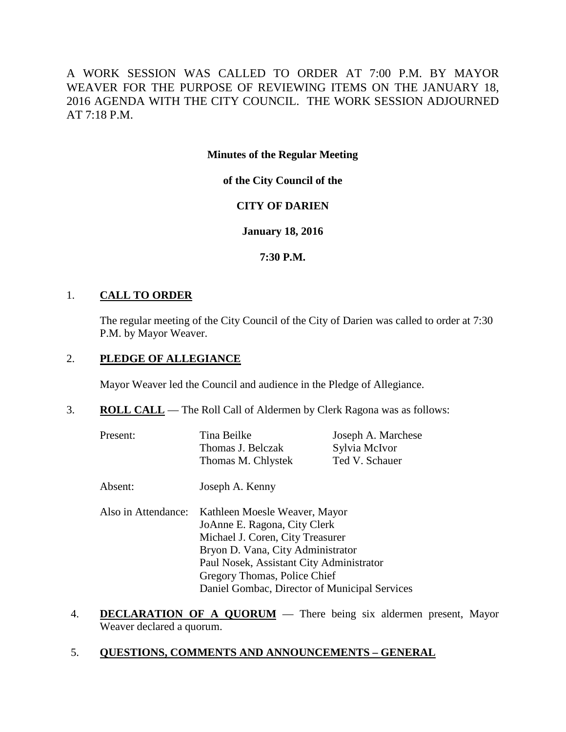A WORK SESSION WAS CALLED TO ORDER AT 7:00 P.M. BY MAYOR WEAVER FOR THE PURPOSE OF REVIEWING ITEMS ON THE JANUARY 18, 2016 AGENDA WITH THE CITY COUNCIL. THE WORK SESSION ADJOURNED AT 7:18 P.M.

**Minutes of the Regular Meeting**

**of the City Council of the**

# **CITY OF DARIEN**

# **January 18, 2016**

# **7:30 P.M.**

## 1. **CALL TO ORDER**

The regular meeting of the City Council of the City of Darien was called to order at 7:30 P.M. by Mayor Weaver.

#### 2. **PLEDGE OF ALLEGIANCE**

Mayor Weaver led the Council and audience in the Pledge of Allegiance.

# 3. **ROLL CALL** — The Roll Call of Aldermen by Clerk Ragona was as follows:

| Present: | Tina Beilke        | Joseph A. Marchese |
|----------|--------------------|--------------------|
|          | Thomas J. Belczak  | Sylvia McIvor      |
|          | Thomas M. Chlystek | Ted V. Schauer     |

- Absent: Joseph A. Kenny
- Also in Attendance: Kathleen Moesle Weaver, Mayor JoAnne E. Ragona, City Clerk Michael J. Coren, City Treasurer Bryon D. Vana, City Administrator Paul Nosek, Assistant City Administrator Gregory Thomas, Police Chief Daniel Gombac, Director of Municipal Services
- 4. **DECLARATION OF A QUORUM** There being six aldermen present, Mayor Weaver declared a quorum.

## 5. **QUESTIONS, COMMENTS AND ANNOUNCEMENTS – GENERAL**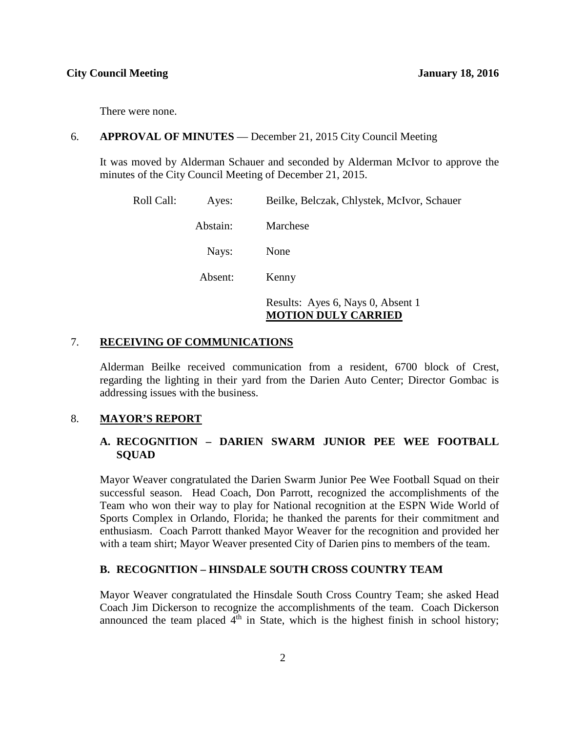There were none.

#### 6. **APPROVAL OF MINUTES** — December 21, 2015 City Council Meeting

It was moved by Alderman Schauer and seconded by Alderman McIvor to approve the minutes of the City Council Meeting of December 21, 2015.

| Roll Call: | Ayes:    | Beilke, Belczak, Chlystek, McIvor, Schauer                      |
|------------|----------|-----------------------------------------------------------------|
|            | Abstain: | Marchese                                                        |
|            | Nays:    | None                                                            |
|            | Absent:  | Kenny                                                           |
|            |          | Results: Ayes 6, Nays 0, Absent 1<br><b>MOTION DULY CARRIED</b> |

#### 7. **RECEIVING OF COMMUNICATIONS**

Alderman Beilke received communication from a resident, 6700 block of Crest, regarding the lighting in their yard from the Darien Auto Center; Director Gombac is addressing issues with the business.

#### 8. **MAYOR'S REPORT**

## **A. RECOGNITION – DARIEN SWARM JUNIOR PEE WEE FOOTBALL SQUAD**

Mayor Weaver congratulated the Darien Swarm Junior Pee Wee Football Squad on their successful season. Head Coach, Don Parrott, recognized the accomplishments of the Team who won their way to play for National recognition at the ESPN Wide World of Sports Complex in Orlando, Florida; he thanked the parents for their commitment and enthusiasm. Coach Parrott thanked Mayor Weaver for the recognition and provided her with a team shirt; Mayor Weaver presented City of Darien pins to members of the team.

#### **B. RECOGNITION – HINSDALE SOUTH CROSS COUNTRY TEAM**

Mayor Weaver congratulated the Hinsdale South Cross Country Team; she asked Head Coach Jim Dickerson to recognize the accomplishments of the team. Coach Dickerson announced the team placed  $4<sup>th</sup>$  in State, which is the highest finish in school history;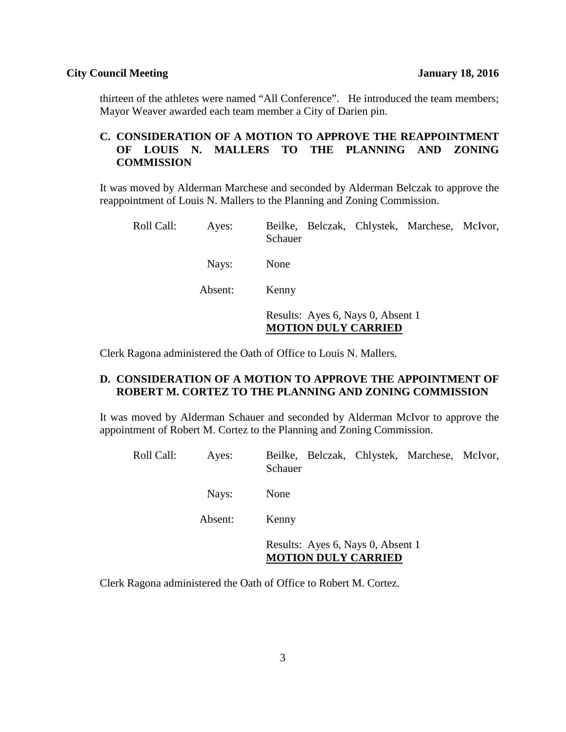thirteen of the athletes were named "All Conference". He introduced the team members; Mayor Weaver awarded each team member a City of Darien pin.

# **C. CONSIDERATION OF A MOTION TO APPROVE THE REAPPOINTMENT OF LOUIS N. MALLERS TO THE PLANNING AND ZONING COMMISSION**

It was moved by Alderman Marchese and seconded by Alderman Belczak to approve the reappointment of Louis N. Mallers to the Planning and Zoning Commission.

| Roll Call: | Ayes:   | Beilke, Belczak, Chlystek, Marchese, McIvor,<br>Schauer         |
|------------|---------|-----------------------------------------------------------------|
|            | Nays:   | None                                                            |
|            | Absent: | Kenny                                                           |
|            |         | Results: Ayes 6, Nays 0, Absent 1<br><b>MOTION DULY CARRIED</b> |

Clerk Ragona administered the Oath of Office to Louis N. Mallers.

# **D. CONSIDERATION OF A MOTION TO APPROVE THE APPOINTMENT OF ROBERT M. CORTEZ TO THE PLANNING AND ZONING COMMISSION**

It was moved by Alderman Schauer and seconded by Alderman McIvor to approve the appointment of Robert M. Cortez to the Planning and Zoning Commission.

| Roll Call: | Ayes:   | Beilke, Belczak, Chlystek, Marchese, McIvor,<br>Schauer         |
|------------|---------|-----------------------------------------------------------------|
|            | Nays:   | None                                                            |
|            | Absent: | Kenny                                                           |
|            |         | Results: Ayes 6, Nays 0, Absent 1<br><b>MOTION DULY CARRIED</b> |

Clerk Ragona administered the Oath of Office to Robert M. Cortez.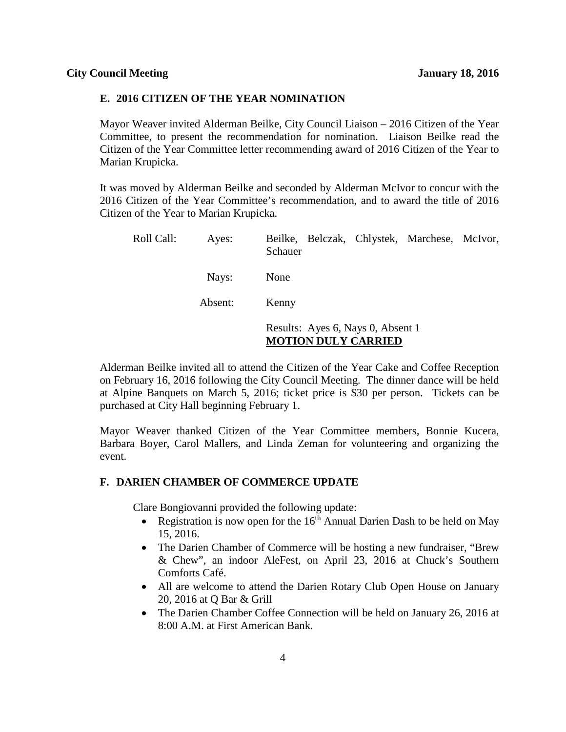#### **E. 2016 CITIZEN OF THE YEAR NOMINATION**

Mayor Weaver invited Alderman Beilke, City Council Liaison – 2016 Citizen of the Year Committee, to present the recommendation for nomination. Liaison Beilke read the Citizen of the Year Committee letter recommending award of 2016 Citizen of the Year to Marian Krupicka.

It was moved by Alderman Beilke and seconded by Alderman McIvor to concur with the 2016 Citizen of the Year Committee's recommendation, and to award the title of 2016 Citizen of the Year to Marian Krupicka.

| Roll Call: | Ayes:   | Beilke, Belczak, Chlystek, Marchese, McIvor,<br>Schauer         |
|------------|---------|-----------------------------------------------------------------|
|            | Nays:   | None                                                            |
|            | Absent: | Kenny                                                           |
|            |         | Results: Ayes 6, Nays 0, Absent 1<br><b>MOTION DULY CARRIED</b> |

Alderman Beilke invited all to attend the Citizen of the Year Cake and Coffee Reception on February 16, 2016 following the City Council Meeting. The dinner dance will be held at Alpine Banquets on March 5, 2016; ticket price is \$30 per person. Tickets can be purchased at City Hall beginning February 1.

Mayor Weaver thanked Citizen of the Year Committee members, Bonnie Kucera, Barbara Boyer, Carol Mallers, and Linda Zeman for volunteering and organizing the event.

#### **F. DARIEN CHAMBER OF COMMERCE UPDATE**

Clare Bongiovanni provided the following update:

- Registration is now open for the  $16<sup>th</sup>$  Annual Darien Dash to be held on May 15, 2016.
- The Darien Chamber of Commerce will be hosting a new fundraiser, "Brew" & Chew", an indoor AleFest, on April 23, 2016 at Chuck's Southern Comforts Café.
- All are welcome to attend the Darien Rotary Club Open House on January 20, 2016 at Q Bar & Grill
- The Darien Chamber Coffee Connection will be held on January 26, 2016 at 8:00 A.M. at First American Bank.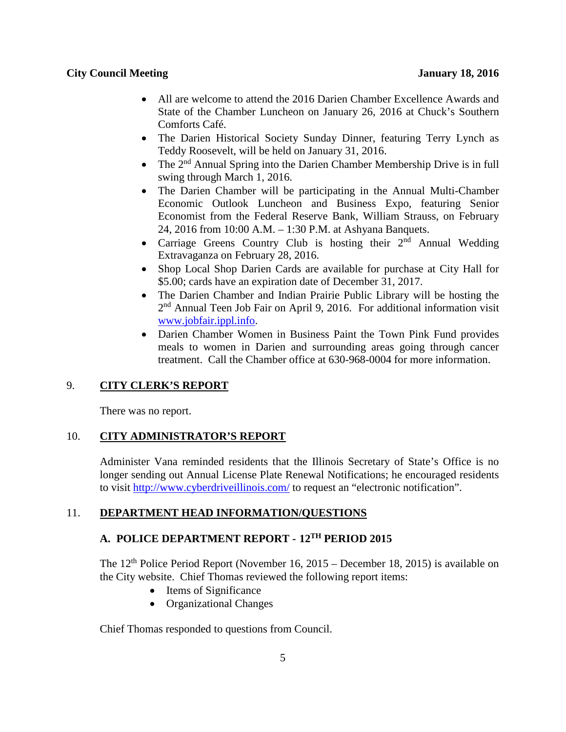- All are welcome to attend the 2016 Darien Chamber Excellence Awards and State of the Chamber Luncheon on January 26, 2016 at Chuck's Southern Comforts Café.
- The Darien Historical Society Sunday Dinner, featuring Terry Lynch as Teddy Roosevelt, will be held on January 31, 2016.
- The  $2<sup>nd</sup>$  Annual Spring into the Darien Chamber Membership Drive is in full swing through March 1, 2016.
- The Darien Chamber will be participating in the Annual Multi-Chamber Economic Outlook Luncheon and Business Expo, featuring Senior Economist from the Federal Reserve Bank, William Strauss, on February 24, 2016 from 10:00 A.M. – 1:30 P.M. at Ashyana Banquets.
- Carriage Greens Country Club is hosting their  $2<sup>nd</sup>$  Annual Wedding Extravaganza on February 28, 2016.
- Shop Local Shop Darien Cards are available for purchase at City Hall for \$5.00; cards have an expiration date of December 31, 2017.
- The Darien Chamber and Indian Prairie Public Library will be hosting the 2nd Annual Teen Job Fair on April 9, 2016. For additional information visit [www.jobfair.ippl.info.](http://www.jobfair.ippl.info/)
- Darien Chamber Women in Business Paint the Town Pink Fund provides meals to women in Darien and surrounding areas going through cancer treatment. Call the Chamber office at 630-968-0004 for more information.

# 9. **CITY CLERK'S REPORT**

There was no report.

# 10. **CITY ADMINISTRATOR'S REPORT**

Administer Vana reminded residents that the Illinois Secretary of State's Office is no longer sending out Annual License Plate Renewal Notifications; he encouraged residents to visit <http://www.cyberdriveillinois.com/> to request an "electronic notification".

# 11. **DEPARTMENT HEAD INFORMATION/QUESTIONS**

# **A. POLICE DEPARTMENT REPORT - 12TH PERIOD 2015**

The  $12<sup>th</sup>$  Police Period Report (November 16, 2015 – December 18, 2015) is available on the City website. Chief Thomas reviewed the following report items:

- Items of Significance
- Organizational Changes

Chief Thomas responded to questions from Council.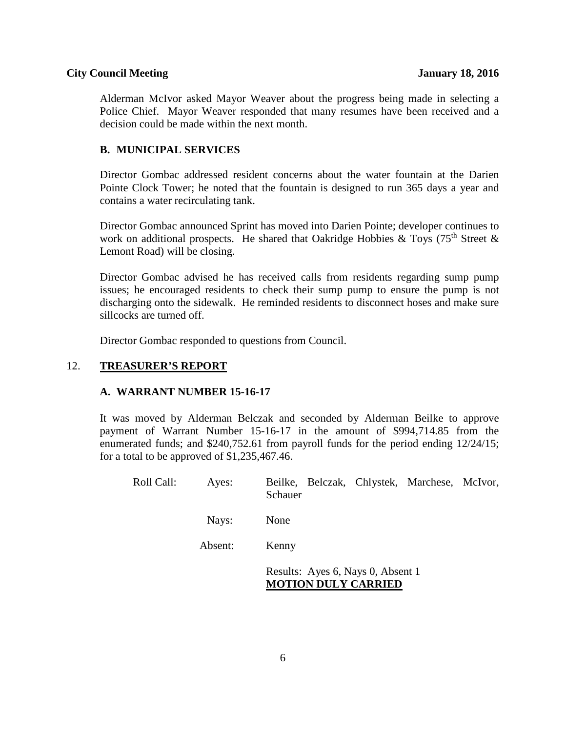Alderman McIvor asked Mayor Weaver about the progress being made in selecting a Police Chief. Mayor Weaver responded that many resumes have been received and a decision could be made within the next month.

# **B. MUNICIPAL SERVICES**

Director Gombac addressed resident concerns about the water fountain at the Darien Pointe Clock Tower; he noted that the fountain is designed to run 365 days a year and contains a water recirculating tank.

Director Gombac announced Sprint has moved into Darien Pointe; developer continues to work on additional prospects. He shared that Oakridge Hobbies & Toys (75<sup>th</sup> Street & Lemont Road) will be closing.

Director Gombac advised he has received calls from residents regarding sump pump issues; he encouraged residents to check their sump pump to ensure the pump is not discharging onto the sidewalk. He reminded residents to disconnect hoses and make sure sillcocks are turned off.

Director Gombac responded to questions from Council.

# 12. **TREASURER'S REPORT**

## **A. WARRANT NUMBER 15-16-17**

It was moved by Alderman Belczak and seconded by Alderman Beilke to approve payment of Warrant Number 15-16-17 in the amount of \$994,714.85 from the enumerated funds; and \$240,752.61 from payroll funds for the period ending 12/24/15; for a total to be approved of \$1,235,467.46.

| Roll Call: | Ayes:   | Beilke, Belczak, Chlystek, Marchese, McIvor,<br>Schauer         |
|------------|---------|-----------------------------------------------------------------|
|            | Nays:   | None                                                            |
|            | Absent: | Kenny                                                           |
|            |         | Results: Ayes 6, Nays 0, Absent 1<br><b>MOTION DULY CARRIED</b> |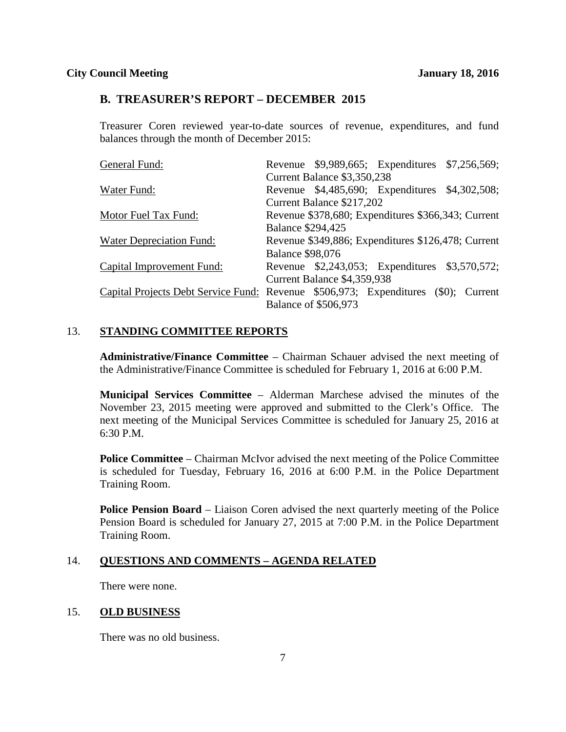#### **B. TREASURER'S REPORT – DECEMBER 2015**

Treasurer Coren reviewed year-to-date sources of revenue, expenditures, and fund balances through the month of December 2015:

| General Fund:                                                                      |                          |                             | Revenue \$9,989,665; Expenditures \$7,256,569;     |  |
|------------------------------------------------------------------------------------|--------------------------|-----------------------------|----------------------------------------------------|--|
|                                                                                    |                          | Current Balance \$3,350,238 |                                                    |  |
| Water Fund:                                                                        |                          |                             | Revenue \$4,485,690; Expenditures \$4,302,508;     |  |
|                                                                                    |                          | Current Balance \$217,202   |                                                    |  |
| Motor Fuel Tax Fund:                                                               |                          |                             | Revenue \$378,680; Expenditures \$366,343; Current |  |
|                                                                                    | <b>Balance \$294,425</b> |                             |                                                    |  |
| <b>Water Depreciation Fund:</b>                                                    |                          |                             | Revenue \$349,886; Expenditures \$126,478; Current |  |
|                                                                                    | <b>Balance \$98,076</b>  |                             |                                                    |  |
| <b>Capital Improvement Fund:</b>                                                   |                          |                             | Revenue \$2,243,053; Expenditures \$3,570,572;     |  |
|                                                                                    |                          | Current Balance \$4,359,938 |                                                    |  |
| Capital Projects Debt Service Fund: Revenue \$506,973; Expenditures (\$0); Current |                          |                             |                                                    |  |
|                                                                                    |                          | <b>Balance of \$506,973</b> |                                                    |  |

# 13. **STANDING COMMITTEE REPORTS**

**Administrative/Finance Committee** – Chairman Schauer advised the next meeting of the Administrative/Finance Committee is scheduled for February 1, 2016 at 6:00 P.M.

**Municipal Services Committee** – Alderman Marchese advised the minutes of the November 23, 2015 meeting were approved and submitted to the Clerk's Office. The next meeting of the Municipal Services Committee is scheduled for January 25, 2016 at 6:30 P.M.

**Police Committee** – Chairman McIvor advised the next meeting of the Police Committee is scheduled for Tuesday, February 16, 2016 at 6:00 P.M. in the Police Department Training Room.

**Police Pension Board** – Liaison Coren advised the next quarterly meeting of the Police Pension Board is scheduled for January 27, 2015 at 7:00 P.M. in the Police Department Training Room.

#### 14. **QUESTIONS AND COMMENTS – AGENDA RELATED**

There were none.

#### 15. **OLD BUSINESS**

There was no old business.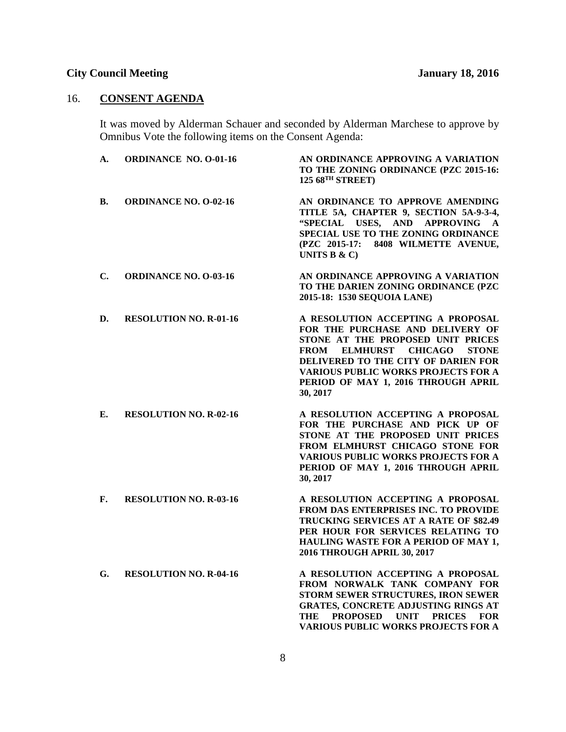# 16. **CONSENT AGENDA**

It was moved by Alderman Schauer and seconded by Alderman Marchese to approve by Omnibus Vote the following items on the Consent Agenda:

| А.        | <b>ORDINANCE NO. O-01-16</b>  | AN ORDINANCE APPROVING A VARIATION<br>TO THE ZONING ORDINANCE (PZC 2015-16:<br>125 68TH STREET)                                                                                                                                                                                                                        |
|-----------|-------------------------------|------------------------------------------------------------------------------------------------------------------------------------------------------------------------------------------------------------------------------------------------------------------------------------------------------------------------|
| <b>B.</b> | <b>ORDINANCE NO. O-02-16</b>  | AN ORDINANCE TO APPROVE AMENDING<br>TITLE 5A, CHAPTER 9, SECTION 5A-9-3-4,<br>"SPECIAL USES, AND APPROVING<br>$\mathbf{A}$<br>SPECIAL USE TO THE ZONING ORDINANCE<br>8408 WILMETTE AVENUE,<br>(PZC 2015-17:<br>UNITS $B & C$                                                                                           |
| C.        | <b>ORDINANCE NO. O-03-16</b>  | AN ORDINANCE APPROVING A VARIATION<br>TO THE DARIEN ZONING ORDINANCE (PZC<br>2015-18: 1530 SEQUOIA LANE)                                                                                                                                                                                                               |
| D.        | <b>RESOLUTION NO. R-01-16</b> | A RESOLUTION ACCEPTING A PROPOSAL<br>FOR THE PURCHASE AND DELIVERY OF<br>STONE AT THE PROPOSED UNIT PRICES<br><b>FROM</b><br><b>ELMHURST</b><br><b>CHICAGO</b><br><b>STONE</b><br>DELIVERED TO THE CITY OF DARIEN FOR<br><b>VARIOUS PUBLIC WORKS PROJECTS FOR A</b><br>PERIOD OF MAY 1, 2016 THROUGH APRIL<br>30, 2017 |
| Е.        | <b>RESOLUTION NO. R-02-16</b> | A RESOLUTION ACCEPTING A PROPOSAL<br>FOR THE PURCHASE AND PICK UP OF<br>STONE AT THE PROPOSED UNIT PRICES<br>FROM ELMHURST CHICAGO STONE FOR<br><b>VARIOUS PUBLIC WORKS PROJECTS FOR A</b><br>PERIOD OF MAY 1, 2016 THROUGH APRIL<br>30, 2017                                                                          |
| F.        | <b>RESOLUTION NO. R-03-16</b> | A RESOLUTION ACCEPTING A PROPOSAL<br>FROM DAS ENTERPRISES INC. TO PROVIDE<br>TRUCKING SERVICES AT A RATE OF \$82.49<br>PER HOUR FOR SERVICES RELATING TO<br>HAULING WASTE FOR A PERIOD OF MAY 1,<br>2016 THROUGH APRIL 30, 2017                                                                                        |
| G.        | <b>RESOLUTION NO. R-04-16</b> | A RESOLUTION ACCEPTING A PROPOSAL<br>FROM NORWALK TANK COMPANY FOR<br>STORM SEWER STRUCTURES, IRON SEWER<br><b>GRATES, CONCRETE ADJUSTING RINGS AT</b><br>THE<br><b>PROPOSED</b><br><b>UNIT</b><br><b>PRICES</b><br><b>FOR</b><br><b>VARIOUS PUBLIC WORKS PROJECTS FOR A</b>                                           |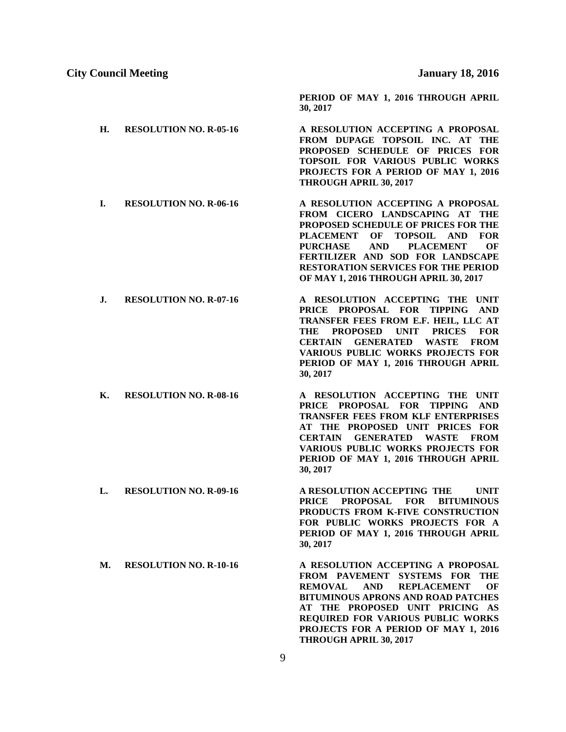**PERIOD OF MAY 1, 2016 THROUGH APRIL** 

#### **City Council Meeting January 18, 2016**

**H. RESOLUTION NO. R-05-16 A RESOLUTION ACCEPTING A PROPOSAL FROM DUPAGE TOPSOIL INC. AT THE PROPOSED SCHEDULE OF PRICES FOR TOPSOIL FOR VARIOUS PUBLIC WORKS PROJECTS FOR A PERIOD OF MAY 1, 2016 THROUGH APRIL 30, 2017 I. RESOLUTION NO. R-06-16 A RESOLUTION ACCEPTING A PROPOSAL FROM CICERO LANDSCAPING AT THE PROPOSED SCHEDULE OF PRICES FOR THE PLACEMENT OF TOPSOIL AND FOR PURCHASE AND PLACEMENT OF FERTILIZER AND SOD FOR LANDSCAPE RESTORATION SERVICES FOR THE PERIOD OF MAY 1, 2016 THROUGH APRIL 30, 2017 J. RESOLUTION NO. R-07-16 A RESOLUTION ACCEPTING THE UNIT PRICE PROPOSAL FOR TIPPING AND TRANSFER FEES FROM E.F. HEIL, LLC AT THE PROPOSED UNIT PRICES FOR CERTAIN GENERATED WASTE FROM VARIOUS PUBLIC WORKS PROJECTS FOR PERIOD OF MAY 1, 2016 THROUGH APRIL** 

**30, 2017**

**K. RESOLUTION NO. R-08-16 A RESOLUTION ACCEPTING THE UNIT PRICE PROPOSAL FOR TIPPING AND TRANSFER FEES FROM KLF ENTERPRISES AT THE PROPOSED UNIT PRICES FOR CERTAIN GENERATED WASTE FROM VARIOUS PUBLIC WORKS PROJECTS FOR PERIOD OF MAY 1, 2016 THROUGH APRIL 30, 2017**

**30, 2017**

**L. RESOLUTION NO. R-09-16 A RESOLUTION ACCEPTING THE UNIT PRICE PROPOSAL FOR BITUMINOUS PRODUCTS FROM K-FIVE CONSTRUCTION FOR PUBLIC WORKS PROJECTS FOR A PERIOD OF MAY 1, 2016 THROUGH APRIL 30, 2017**

**M. RESOLUTION NO. R-10-16 A RESOLUTION ACCEPTING A PROPOSAL FROM PAVEMENT SYSTEMS FOR THE REMOVAL AND REPLACEMENT OF BITUMINOUS APRONS AND ROAD PATCHES AT THE PROPOSED UNIT PRICING AS REQUIRED FOR VARIOUS PUBLIC WORKS PROJECTS FOR A PERIOD OF MAY 1, 2016 THROUGH APRIL 30, 2017**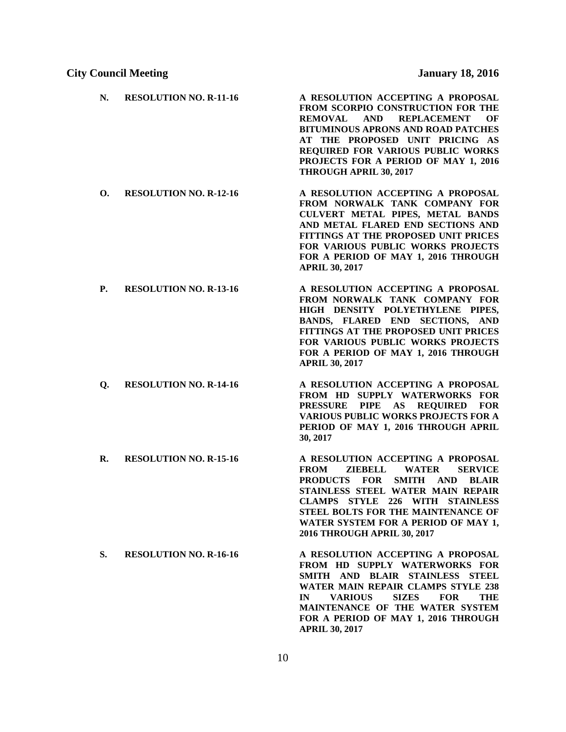| N.        | <b>RESOLUTION NO. R-11-16</b> | A RESOLUTION ACCEPTING A PROPOSAL<br>FROM SCORPIO CONSTRUCTION FOR THE<br><b>REMOVAL</b><br><b>AND</b><br><b>REPLACEMENT</b><br>ОF<br><b>BITUMINOUS APRONS AND ROAD PATCHES</b><br>AT THE PROPOSED UNIT PRICING AS<br>REQUIRED FOR VARIOUS PUBLIC WORKS<br>PROJECTS FOR A PERIOD OF MAY 1, 2016<br>THROUGH APRIL 30, 2017                              |
|-----------|-------------------------------|--------------------------------------------------------------------------------------------------------------------------------------------------------------------------------------------------------------------------------------------------------------------------------------------------------------------------------------------------------|
| О.        | <b>RESOLUTION NO. R-12-16</b> | A RESOLUTION ACCEPTING A PROPOSAL<br>FROM NORWALK TANK COMPANY FOR<br>CULVERT METAL PIPES, METAL BANDS<br>AND METAL FLARED END SECTIONS AND<br>FITTINGS AT THE PROPOSED UNIT PRICES<br>FOR VARIOUS PUBLIC WORKS PROJECTS<br>FOR A PERIOD OF MAY 1, 2016 THROUGH<br><b>APRIL 30, 2017</b>                                                               |
| <b>P.</b> | <b>RESOLUTION NO. R-13-16</b> | A RESOLUTION ACCEPTING A PROPOSAL<br>FROM NORWALK TANK COMPANY FOR<br>HIGH DENSITY POLYETHYLENE PIPES,<br>BANDS, FLARED END SECTIONS, AND<br>FITTINGS AT THE PROPOSED UNIT PRICES<br>FOR VARIOUS PUBLIC WORKS PROJECTS<br>FOR A PERIOD OF MAY 1, 2016 THROUGH<br><b>APRIL 30, 2017</b>                                                                 |
| Q.        | <b>RESOLUTION NO. R-14-16</b> | A RESOLUTION ACCEPTING A PROPOSAL<br>FROM HD SUPPLY WATERWORKS FOR<br>PRESSURE PIPE AS REQUIRED<br><b>FOR</b><br><b>VARIOUS PUBLIC WORKS PROJECTS FOR A</b><br>PERIOD OF MAY 1, 2016 THROUGH APRIL<br>30, 2017                                                                                                                                         |
| R.        | <b>RESOLUTION NO. R-15-16</b> | A RESOLUTION ACCEPTING A PROPOSAL<br>ZIEBELL<br><b>FROM</b><br><b>WATER</b><br><b>SERVICE</b><br><b>PRODUCTS</b><br><b>FOR</b><br>SMITH AND<br><b>BLAIR</b><br>STAINLESS STEEL WATER MAIN REPAIR<br><b>CLAMPS STYLE 226 WITH STAINLESS</b><br>STEEL BOLTS FOR THE MAINTENANCE OF<br>WATER SYSTEM FOR A PERIOD OF MAY 1,<br>2016 THROUGH APRIL 30, 2017 |
| S.        | <b>RESOLUTION NO. R-16-16</b> | A RESOLUTION ACCEPTING A PROPOSAL<br>FROM HD SUPPLY WATERWORKS FOR<br>SMITH AND BLAIR STAINLESS STEEL<br>WATER MAIN REPAIR CLAMPS STYLE 238                                                                                                                                                                                                            |

**APRIL 30, 2017**

**IN VARIOUS SIZES FOR THE MAINTENANCE OF THE WATER SYSTEM FOR A PERIOD OF MAY 1, 2016 THROUGH**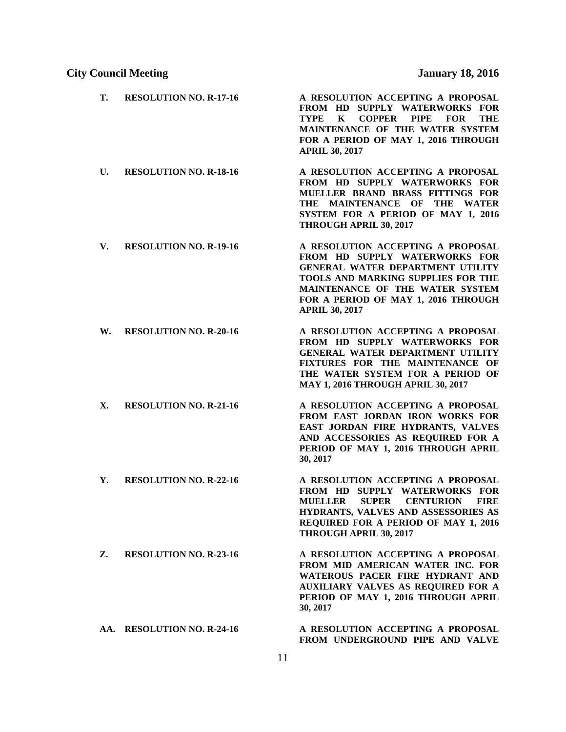| Т. | <b>RESOLUTION NO. R-17-16</b> | A RESOLUTION ACCEPTING A PROPOSAL<br>FROM HD SUPPLY WATERWORKS FOR<br><b>COPPER</b><br><b>PIPE</b><br>TYPE<br>K<br><b>FOR</b><br>THE<br>MAINTENANCE OF THE WATER SYSTEM<br>FOR A PERIOD OF MAY 1, 2016 THROUGH<br><b>APRIL 30, 2017</b>                |
|----|-------------------------------|--------------------------------------------------------------------------------------------------------------------------------------------------------------------------------------------------------------------------------------------------------|
| U. | <b>RESOLUTION NO. R-18-16</b> | A RESOLUTION ACCEPTING A PROPOSAL<br>FROM HD SUPPLY WATERWORKS FOR<br>MUELLER BRAND BRASS FITTINGS FOR<br>THE MAINTENANCE OF THE WATER<br>SYSTEM FOR A PERIOD OF MAY 1, 2016<br>THROUGH APRIL 30, 2017                                                 |
| V. | <b>RESOLUTION NO. R-19-16</b> | A RESOLUTION ACCEPTING A PROPOSAL<br>FROM HD SUPPLY WATERWORKS FOR<br><b>GENERAL WATER DEPARTMENT UTILITY</b><br>TOOLS AND MARKING SUPPLIES FOR THE<br>MAINTENANCE OF THE WATER SYSTEM<br>FOR A PERIOD OF MAY 1, 2016 THROUGH<br><b>APRIL 30, 2017</b> |
| W. | <b>RESOLUTION NO. R-20-16</b> | A RESOLUTION ACCEPTING A PROPOSAL<br>FROM HD SUPPLY WATERWORKS FOR<br>GENERAL WATER DEPARTMENT UTILITY<br>FIXTURES FOR THE MAINTENANCE OF<br>THE WATER SYSTEM FOR A PERIOD OF<br><b>MAY 1, 2016 THROUGH APRIL 30, 2017</b>                             |
| Х. | <b>RESOLUTION NO. R-21-16</b> | A RESOLUTION ACCEPTING A PROPOSAL<br>FROM EAST JORDAN IRON WORKS FOR<br>EAST JORDAN FIRE HYDRANTS, VALVES<br>AND ACCESSORIES AS REQUIRED FOR A<br>PERIOD OF MAY 1, 2016 THROUGH APRIL<br>30, 2017                                                      |
| Υ. | <b>RESOLUTION NO. R-22-16</b> | A RESOLUTION ACCEPTING A PROPOSAL<br>FROM HD SUPPLY WATERWORKS FOR<br><b>MUELLER</b><br><b>SUPER</b><br><b>CENTURION</b><br><b>FIRE</b><br>HYDRANTS, VALVES AND ASSESSORIES AS<br>REQUIRED FOR A PERIOD OF MAY 1, 2016<br>THROUGH APRIL 30, 2017       |
| Z. | <b>RESOLUTION NO. R-23-16</b> | A RESOLUTION ACCEPTING A PROPOSAL<br>FROM MID AMERICAN WATER INC. FOR<br>WATEROUS PACER FIRE HYDRANT AND<br><b>AUXILIARY VALVES AS REQUIRED FOR A</b><br>PERIOD OF MAY 1, 2016 THROUGH APRIL<br>30, 2017                                               |
|    | AA. RESOLUTION NO. R-24-16    | A RESOLUTION ACCEPTING A PROPOSAL<br>FROM UNDERGROUND PIPE AND VALVE                                                                                                                                                                                   |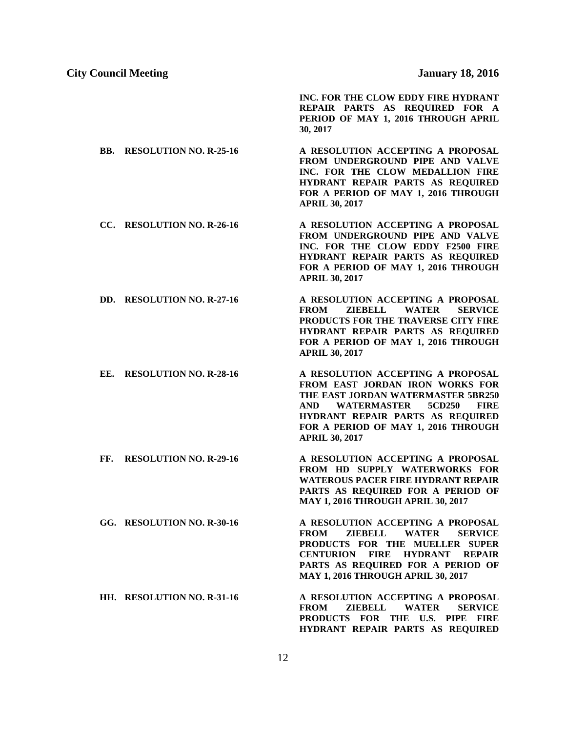**INC. FOR THE CLOW EDDY FIRE HYDRANT REPAIR PARTS AS REQUIRED FOR A PERIOD OF MAY 1, 2016 THROUGH APRIL 30, 2017**

- **BB. RESOLUTION NO. R-25-16 A RESOLUTION ACCEPTING A PROPOSAL FROM UNDERGROUND PIPE AND VALVE INC. FOR THE CLOW MEDALLION FIRE HYDRANT REPAIR PARTS AS REQUIRED FOR A PERIOD OF MAY 1, 2016 THROUGH APRIL 30, 2017**
- **CC. RESOLUTION NO. R-26-16 A RESOLUTION ACCEPTING A PROPOSAL FROM UNDERGROUND PIPE AND VALVE INC. FOR THE CLOW EDDY F2500 FIRE HYDRANT REPAIR PARTS AS REQUIRED FOR A PERIOD OF MAY 1, 2016 THROUGH APRIL 30, 2017**
- **DD. RESOLUTION NO. R-27-16 A RESOLUTION ACCEPTING A PROPOSAL FROM ZIEBELL WATER SERVICE PRODUCTS FOR THE TRAVERSE CITY FIRE HYDRANT REPAIR PARTS AS REQUIRED FOR A PERIOD OF MAY 1, 2016 THROUGH APRIL 30, 2017**
- **EE. RESOLUTION NO. R-28-16 A RESOLUTION ACCEPTING A PROPOSAL FROM EAST JORDAN IRON WORKS FOR THE EAST JORDAN WATERMASTER 5BR250 AND WATERMASTER 5CD250 FIRE HYDRANT REPAIR PARTS AS REQUIRED FOR A PERIOD OF MAY 1, 2016 THROUGH APRIL 30, 2017**
- **FF. RESOLUTION NO. R-29-16 A RESOLUTION ACCEPTING A PROPOSAL FROM HD SUPPLY WATERWORKS FOR WATEROUS PACER FIRE HYDRANT REPAIR PARTS AS REQUIRED FOR A PERIOD OF MAY 1, 2016 THROUGH APRIL 30, 2017**
- **GG. RESOLUTION NO. R-30-16 A RESOLUTION ACCEPTING A PROPOSAL FROM ZIEBELL WATER SERVICE PRODUCTS FOR THE MUELLER SUPER CENTURION FIRE HYDRANT REPAIR PARTS AS REQUIRED FOR A PERIOD OF MAY 1, 2016 THROUGH APRIL 30, 2017**
- **HH. RESOLUTION NO. R-31-16 A RESOLUTION ACCEPTING A PROPOSAL FROM ZIEBELL WATER SERVICE PRODUCTS FOR THE U.S. PIPE FIRE HYDRANT REPAIR PARTS AS REQUIRED**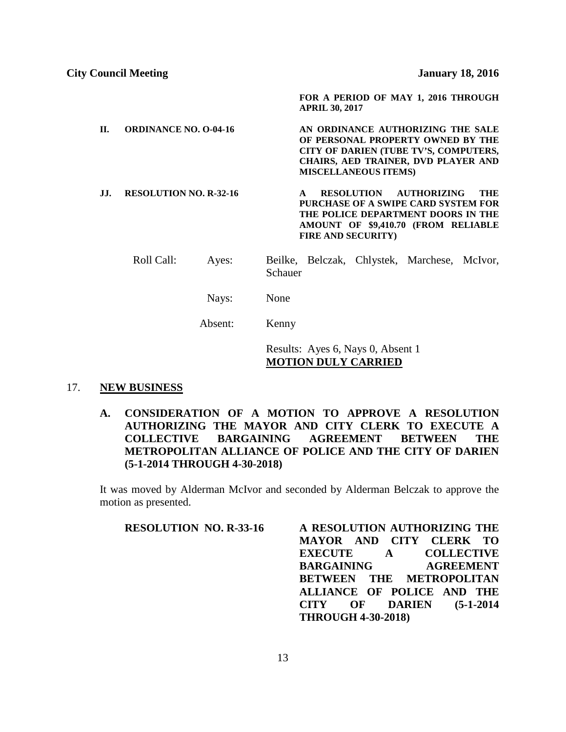**FOR A PERIOD OF MAY 1, 2016 THROUGH APRIL 30, 2017**

**II. ORDINANCE NO. O-04-16 AN ORDINANCE AUTHORIZING THE SALE OF PERSONAL PROPERTY OWNED BY THE CITY OF DARIEN (TUBE TV'S, COMPUTERS, CHAIRS, AED TRAINER, DVD PLAYER AND MISCELLANEOUS ITEMS) JJ. RESOLUTION NO. R-32-16 A RESOLUTION AUTHORIZING THE** 

**PURCHASE OF A SWIPE CARD SYSTEM FOR THE POLICE DEPARTMENT DOORS IN THE AMOUNT OF \$9,410.70 (FROM RELIABLE FIRE AND SECURITY)**

- Roll Call: Ayes: Beilke, Belczak, Chlystek, Marchese, McIvor, Schauer
	- Nays: None

Absent: Kenny

Results: Ayes 6, Nays 0, Absent 1 **MOTION DULY CARRIED**

#### 17. **NEW BUSINESS**

**A. CONSIDERATION OF A MOTION TO APPROVE A RESOLUTION AUTHORIZING THE MAYOR AND CITY CLERK TO EXECUTE A COLLECTIVE BARGAINING AGREEMENT BETWEEN THE METROPOLITAN ALLIANCE OF POLICE AND THE CITY OF DARIEN (5-1-2014 THROUGH 4-30-2018)**

It was moved by Alderman McIvor and seconded by Alderman Belczak to approve the motion as presented.

**RESOLUTION NO. R-33-16 A RESOLUTION AUTHORIZING THE MAYOR AND CITY CLERK TO EXECUTE A COLLECTIVE BARGAINING AGREEMENT BETWEEN THE METROPOLITAN ALLIANCE OF POLICE AND THE CITY OF DARIEN (5-1-2014 THROUGH 4-30-2018)**